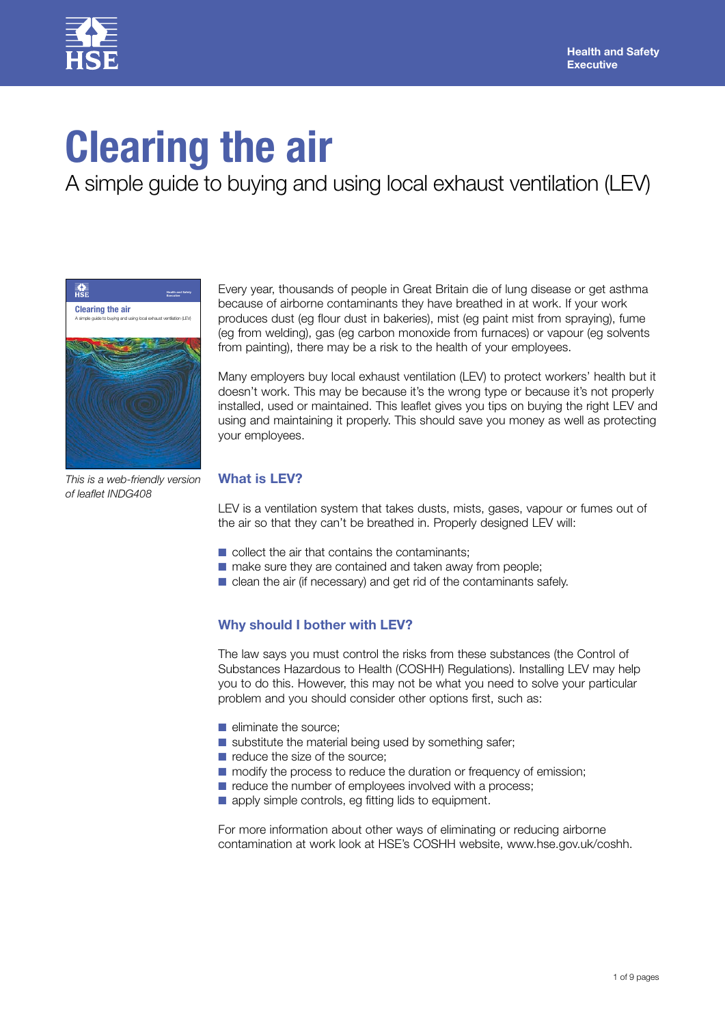

# **Clearing the air**

A simple guide to buying and using local exhaust ventilation (LEV)



Every year, thousands of people in Great Britain die of lung disease or get asthma because of airborne contaminants they have breathed in at work. If your work produces dust (eg flour dust in bakeries), mist (eg paint mist from spraying), fume (eg from welding), gas (eg carbon monoxide from furnaces) or vapour (eg solvents from painting), there may be a risk to the health of your employees.

Many employers buy local exhaust ventilation (LEV) to protect workers' health but it doesn't work. This may be because it's the wrong type or because it's not properly installed, used or maintained. This leaflet gives you tips on buying the right LEV and using and maintaining it properly. This should save you money as well as protecting your employees.

*This is a web-friendly version of leaflet INDG408*

# **What is LEV?**

LEV is a ventilation system that takes dusts, mists, gases, vapour or fumes out of the air so that they can't be breathed in. Properly designed LEV will:

- $\blacksquare$  collect the air that contains the contaminants;
- make sure they are contained and taken away from people;
- clean the air (if necessary) and get rid of the contaminants safely.

# **Why should I bother with LEV?**

The law says you must control the risks from these substances (the Control of Substances Hazardous to Health (COSHH) Regulations). Installing LEV may help you to do this. However, this may not be what you need to solve your particular problem and you should consider other options first, such as:

- eliminate the source:
- substitute the material being used by something safer;
- reduce the size of the source;
- modify the process to reduce the duration or frequency of emission;
- reduce the number of employees involved with a process;
- apply simple controls, eg fitting lids to equipment.

For more information about other ways of eliminating or reducing airborne contamination at work look at HSE's COSHH website, www.hse.gov.uk/coshh.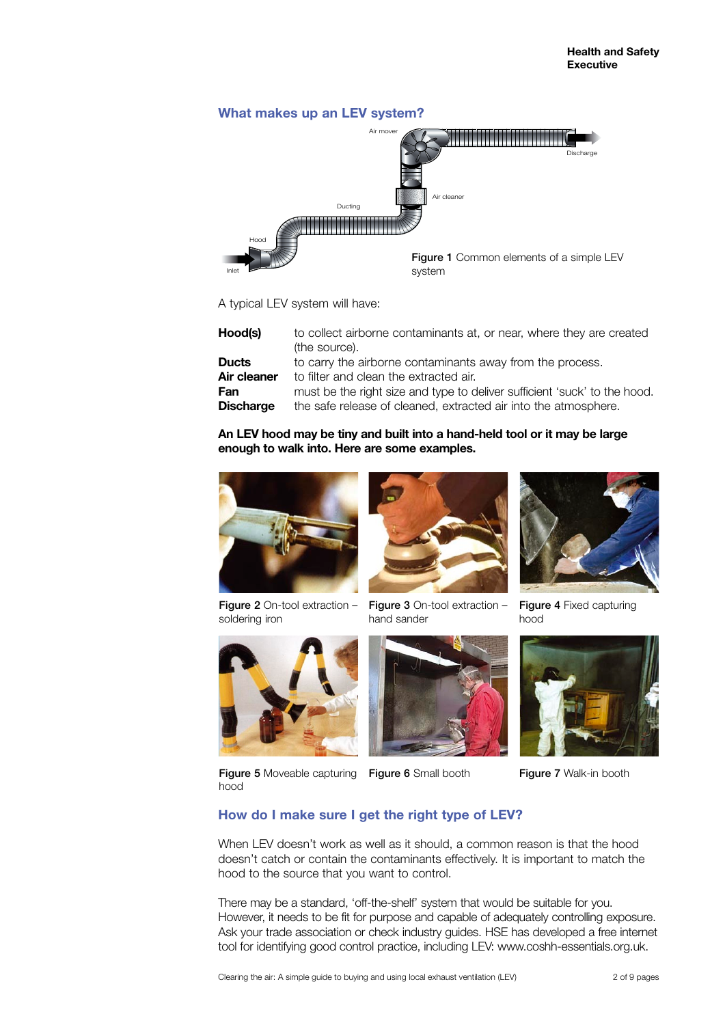

A typical LEV system will have:

| Hood(s)          | to collect airborne contaminants at, or near, where they are created<br>(the source). |
|------------------|---------------------------------------------------------------------------------------|
| <b>Ducts</b>     | to carry the airborne contaminants away from the process.                             |
| Air cleaner      | to filter and clean the extracted air.                                                |
| Fan              | must be the right size and type to deliver sufficient 'suck' to the hood.             |
| <b>Discharge</b> | the safe release of cleaned, extracted air into the atmosphere.                       |

# **An LEV hood may be tiny and built into a hand-held tool or it may be large enough to walk into. Here are some examples.**



Figure 2 On-tool extraction - Figure 3 On-tool extraction soldering iron



hand sander







Figure 4 Fixed capturing hood



Figure 7 Walk-in booth

Figure 5 Moveable capturing Figure 6 Small booth hood



# **How do I make sure I get the right type of LEV?**

When LEV doesn't work as well as it should, a common reason is that the hood doesn't catch or contain the contaminants effectively. It is important to match the hood to the source that you want to control.

There may be a standard, 'off-the-shelf' system that would be suitable for you. However, it needs to be fit for purpose and capable of adequately controlling exposure. Ask your trade association or check industry guides. HSE has developed a free internet tool for identifying good control practice, including LEV: www.coshh-essentials.org.uk.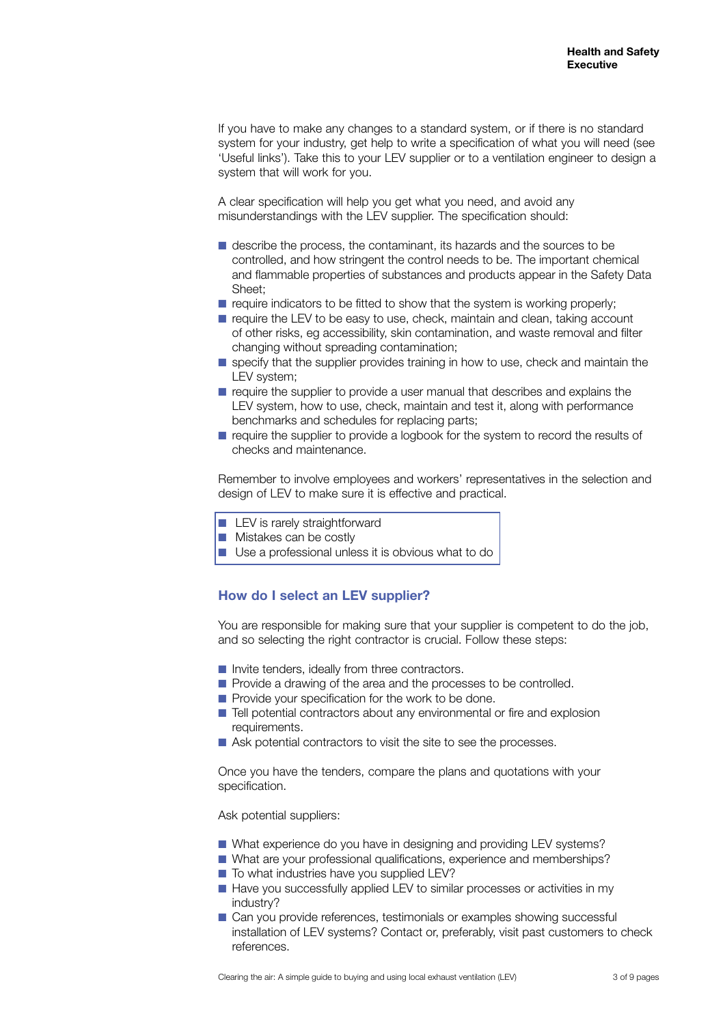If you have to make any changes to a standard system, or if there is no standard system for your industry, get help to write a specification of what you will need (see 'Useful links'). Take this to your LEV supplier or to a ventilation engineer to design a system that will work for you.

A clear specification will help you get what you need, and avoid any misunderstandings with the LEV supplier. The specification should:

- describe the process, the contaminant, its hazards and the sources to be controlled, and how stringent the control needs to be. The important chemical and flammable properties of substances and products appear in the Safety Data Sheet;
- $\blacksquare$  require indicators to be fitted to show that the system is working properly;
- require the LEV to be easy to use, check, maintain and clean, taking account of other risks, eg accessibility, skin contamination, and waste removal and filter changing without spreading contamination;
- specify that the supplier provides training in how to use, check and maintain the LEV system;
- require the supplier to provide a user manual that describes and explains the LEV system, how to use, check, maintain and test it, along with performance benchmarks and schedules for replacing parts;
- require the supplier to provide a logbook for the system to record the results of checks and maintenance.

Remember to involve employees and workers' representatives in the selection and design of LEV to make sure it is effective and practical.

- LEV is rarely straightforward
- Mistakes can be costly
- Use a professional unless it is obvious what to do

# **How do I select an LEV supplier?**

You are responsible for making sure that your supplier is competent to do the job, and so selecting the right contractor is crucial. Follow these steps:

- Invite tenders, ideally from three contractors.
- Provide a drawing of the area and the processes to be controlled.
- Provide your specification for the work to be done.
- Tell potential contractors about any environmental or fire and explosion requirements.
- Ask potential contractors to visit the site to see the processes.

Once you have the tenders, compare the plans and quotations with your specification.

Ask potential suppliers:

- What experience do you have in designing and providing LEV systems?
- What are your professional qualifications, experience and memberships?
- To what industries have you supplied LEV?
- Have you successfully applied LEV to similar processes or activities in my industry?
- Can you provide references, testimonials or examples showing successful installation of LEV systems? Contact or, preferably, visit past customers to check references.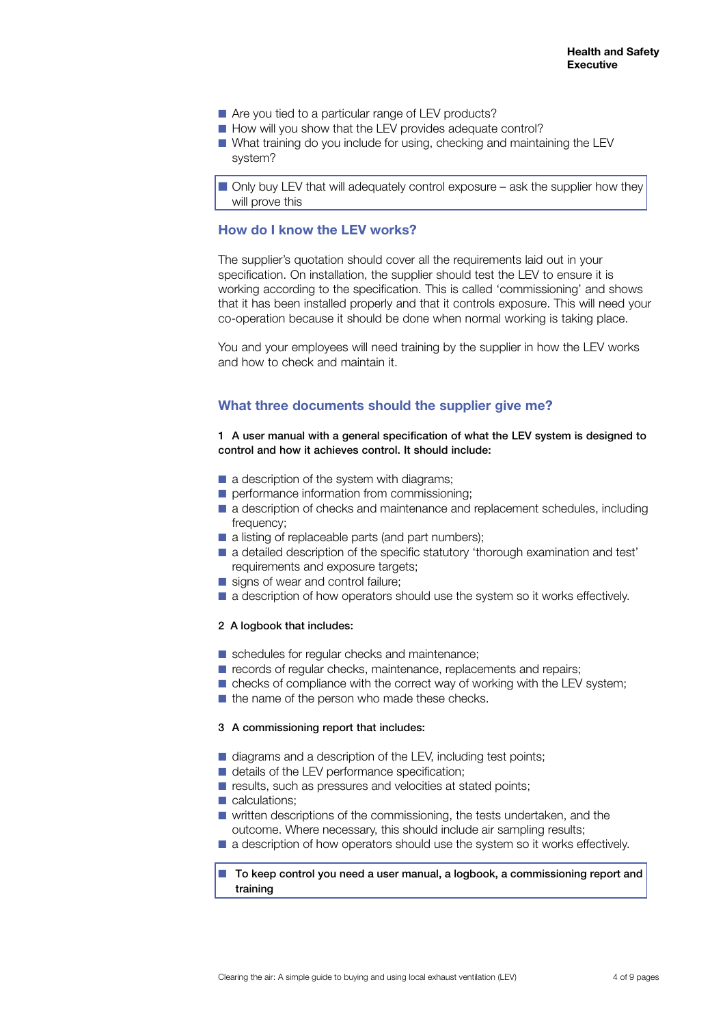- Are you tied to a particular range of LEV products?
- How will you show that the LEV provides adequate control?
- What training do you include for using, checking and maintaining the LEV system?

■ Only buy LEV that will adequately control exposure – ask the supplier how they will prove this

## **How do I know the LEV works?**

The supplier's quotation should cover all the requirements laid out in your specification. On installation, the supplier should test the LEV to ensure it is working according to the specification. This is called 'commissioning' and shows that it has been installed properly and that it controls exposure. This will need your co-operation because it should be done when normal working is taking place.

You and your employees will need training by the supplier in how the LEV works and how to check and maintain it.

## **What three documents should the supplier give me?**

#### 1 A user manual with a general specification of what the LEV system is designed to control and how it achieves control. It should include:

- a description of the system with diagrams;
- performance information from commissioning;
- a description of checks and maintenance and replacement schedules, including frequency;
- a listing of replaceable parts (and part numbers);
- a detailed description of the specific statutory 'thorough examination and test' requirements and exposure targets;
- signs of wear and control failure;
- a description of how operators should use the system so it works effectively.

#### 2 A logbook that includes:

- schedules for regular checks and maintenance;
- records of regular checks, maintenance, replacements and repairs;
- checks of compliance with the correct way of working with the LEV system;
- the name of the person who made these checks.

#### 3 A commissioning report that includes:

- diagrams and a description of the LEV, including test points;
- details of the LEV performance specification;
- results, such as pressures and velocities at stated points;
- calculations:
- written descriptions of the commissioning, the tests undertaken, and the outcome. Where necessary, this should include air sampling results;
- a description of how operators should use the system so it works effectively.

#### ■ To keep control you need a user manual, a logbook, a commissioning report and training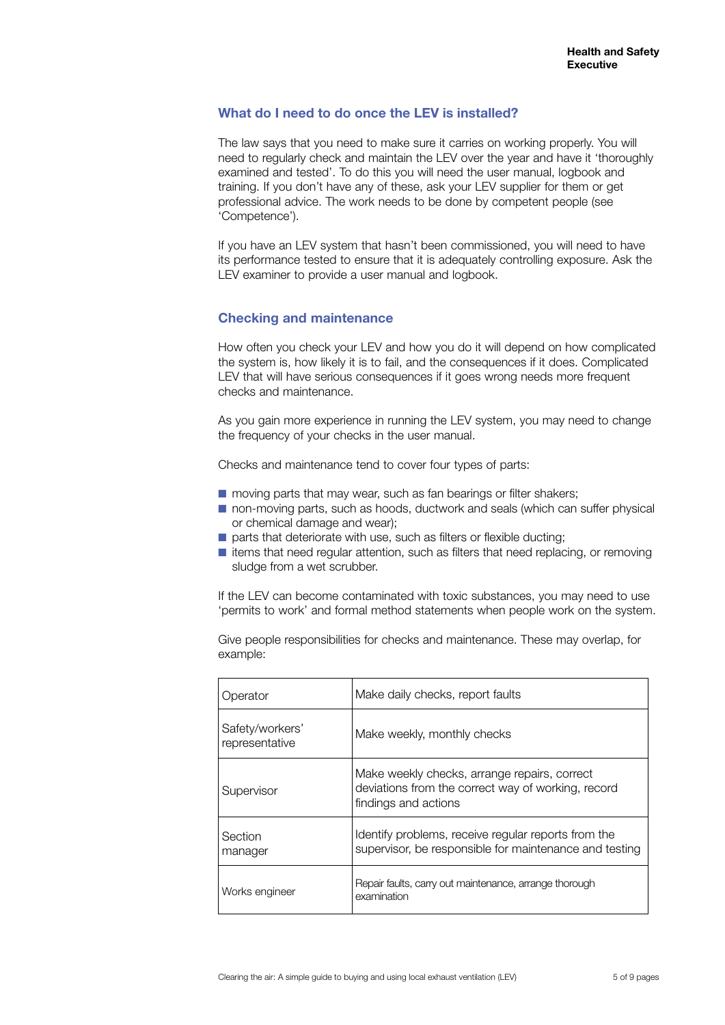## **What do I need to do once the LEV is installed?**

The law says that you need to make sure it carries on working properly. You will need to regularly check and maintain the LEV over the year and have it 'thoroughly examined and tested'. To do this you will need the user manual, logbook and training. If you don't have any of these, ask your LEV supplier for them or get professional advice. The work needs to be done by competent people (see 'Competence').

If you have an LEV system that hasn't been commissioned, you will need to have its performance tested to ensure that it is adequately controlling exposure. Ask the LEV examiner to provide a user manual and logbook.

## **Checking and maintenance**

How often you check your LEV and how you do it will depend on how complicated the system is, how likely it is to fail, and the consequences if it does. Complicated LEV that will have serious consequences if it goes wrong needs more frequent checks and maintenance.

As you gain more experience in running the LEV system, you may need to change the frequency of your checks in the user manual.

Checks and maintenance tend to cover four types of parts:

- moving parts that may wear, such as fan bearings or filter shakers;
- non-moving parts, such as hoods, ductwork and seals (which can suffer physical or chemical damage and wear);
- parts that deteriorate with use, such as filters or flexible ducting;
- items that need regular attention, such as filters that need replacing, or removing sludge from a wet scrubber.

If the LEV can become contaminated with toxic substances, you may need to use 'permits to work' and formal method statements when people work on the system.

Give people responsibilities for checks and maintenance. These may overlap, for example:

| Operator                          | Make daily checks, report faults                                                                                           |
|-----------------------------------|----------------------------------------------------------------------------------------------------------------------------|
| Safety/workers'<br>representative | Make weekly, monthly checks                                                                                                |
| Supervisor                        | Make weekly checks, arrange repairs, correct<br>deviations from the correct way of working, record<br>findings and actions |
| Section<br>manager                | Identify problems, receive regular reports from the<br>supervisor, be responsible for maintenance and testing              |
| Works engineer                    | Repair faults, carry out maintenance, arrange thorough<br>examination                                                      |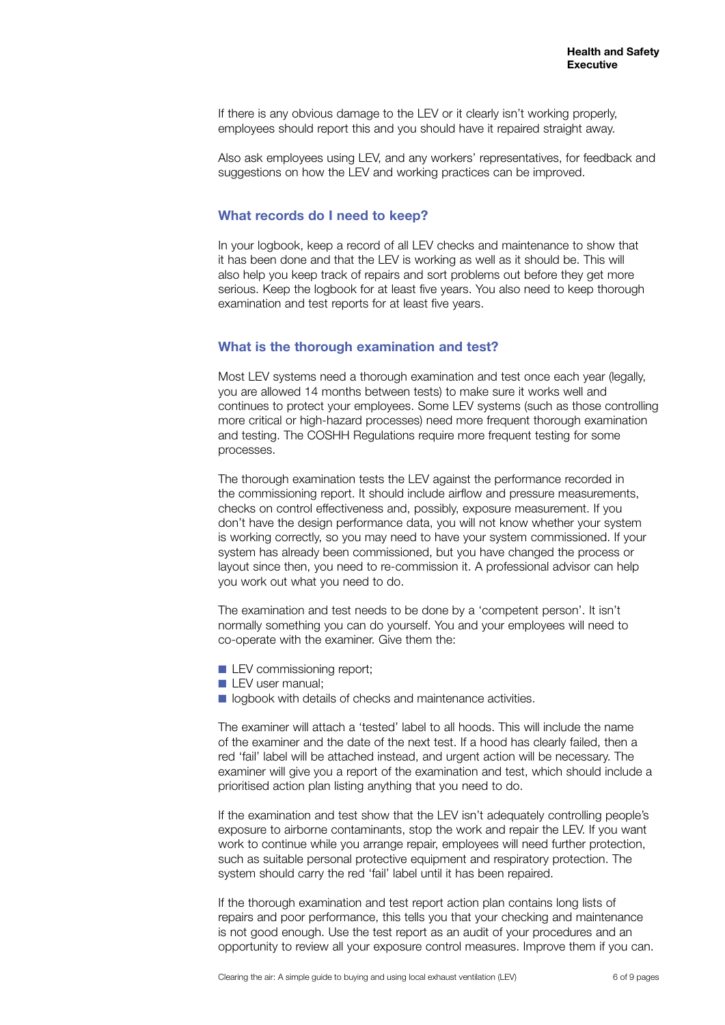If there is any obvious damage to the LEV or it clearly isn't working properly, employees should report this and you should have it repaired straight away.

Also ask employees using LEV, and any workers' representatives, for feedback and suggestions on how the LEV and working practices can be improved.

#### **What records do I need to keep?**

In your logbook, keep a record of all LEV checks and maintenance to show that it has been done and that the LEV is working as well as it should be. This will also help you keep track of repairs and sort problems out before they get more serious. Keep the logbook for at least five years. You also need to keep thorough examination and test reports for at least five years.

#### **What is the thorough examination and test?**

Most LEV systems need a thorough examination and test once each year (legally, you are allowed 14 months between tests) to make sure it works well and continues to protect your employees. Some LEV systems (such as those controlling more critical or high-hazard processes) need more frequent thorough examination and testing. The COSHH Regulations require more frequent testing for some processes.

The thorough examination tests the LEV against the performance recorded in the commissioning report. It should include airflow and pressure measurements, checks on control effectiveness and, possibly, exposure measurement. If you don't have the design performance data, you will not know whether your system is working correctly, so you may need to have your system commissioned. If your system has already been commissioned, but you have changed the process or layout since then, you need to re-commission it. A professional advisor can help you work out what you need to do.

The examination and test needs to be done by a 'competent person'. It isn't normally something you can do yourself. You and your employees will need to co-operate with the examiner. Give them the:

- LEV commissioning report;
- **LEV** user manual:
- logbook with details of checks and maintenance activities.

The examiner will attach a 'tested' label to all hoods. This will include the name of the examiner and the date of the next test. If a hood has clearly failed, then a red 'fail' label will be attached instead, and urgent action will be necessary. The examiner will give you a report of the examination and test, which should include a prioritised action plan listing anything that you need to do.

If the examination and test show that the LEV isn't adequately controlling people's exposure to airborne contaminants, stop the work and repair the LEV. If you want work to continue while you arrange repair, employees will need further protection, such as suitable personal protective equipment and respiratory protection. The system should carry the red 'fail' label until it has been repaired.

If the thorough examination and test report action plan contains long lists of repairs and poor performance, this tells you that your checking and maintenance is not good enough. Use the test report as an audit of your procedures and an opportunity to review all your exposure control measures. Improve them if you can.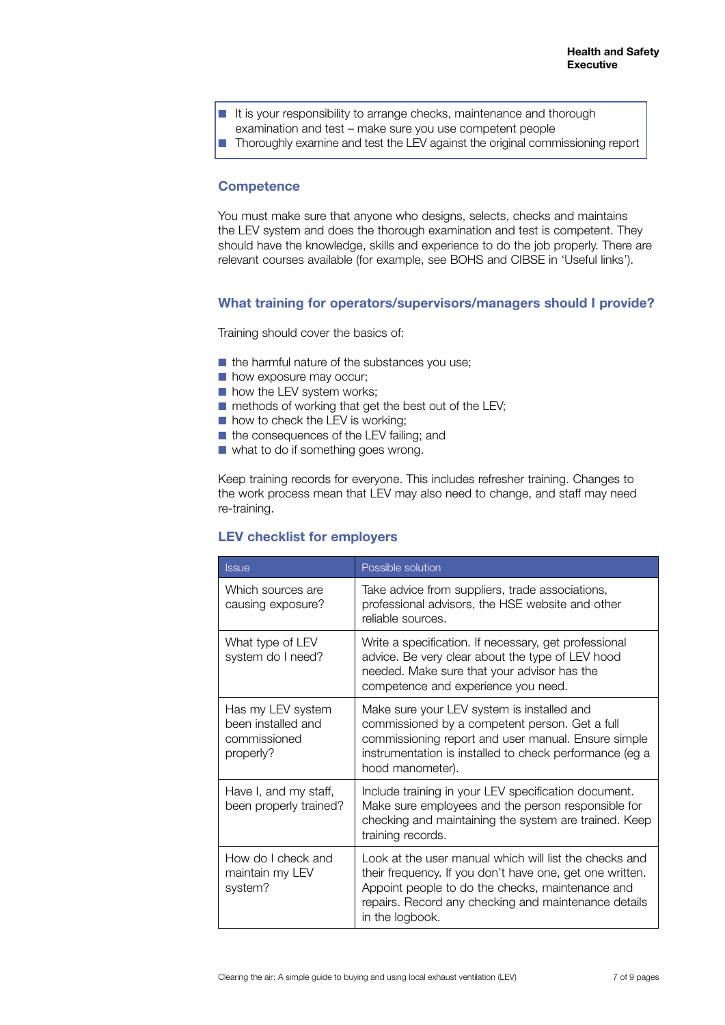- It is your responsibility to arrange checks, maintenance and thorough
	- examination and test make sure you use competent people
- Thoroughly examine and test the LEV against the original commissioning report

# **Competence**

You must make sure that anyone who designs, selects, checks and maintains the LEV system and does the thorough examination and test is competent. They should have the knowledge, skills and experience to do the job properly. There are relevant courses available (for example, see BOHS and CIBSE in 'Useful links').

#### **What training for operators/supervisors/managers should I provide?**

Training should cover the basics of:

- the harmful nature of the substances you use;
- how exposure may occur;
- how the LEV system works;
- methods of working that get the best out of the LEV;
- how to check the LEV is working;
- the consequences of the LEV failing; and
- what to do if something goes wrong.

Keep training records for everyone. This includes refresher training. Changes to the work process mean that LEV may also need to change, and staff may need re-training.

# **LEV checklist for employers**

| <b>Issue</b>                                                         | Possible solution                                                                                                                                                                                                                                 |
|----------------------------------------------------------------------|---------------------------------------------------------------------------------------------------------------------------------------------------------------------------------------------------------------------------------------------------|
| Which sources are<br>causing exposure?                               | Take advice from suppliers, trade associations,<br>professional advisors, the HSE website and other<br>reliable sources.                                                                                                                          |
| What type of LEV<br>system do I need?                                | Write a specification. If necessary, get professional<br>advice. Be very clear about the type of LEV hood<br>needed. Make sure that your advisor has the<br>competence and experience you need.                                                   |
| Has my LEV system<br>been installed and<br>commissioned<br>properly? | Make sure your LEV system is installed and<br>commissioned by a competent person. Get a full<br>commissioning report and user manual. Ensure simple<br>instrumentation is installed to check performance (eg a<br>hood manometer).                |
| Have I, and my staff,<br>been properly trained?                      | Include training in your LEV specification document.<br>Make sure employees and the person responsible for<br>checking and maintaining the system are trained. Keep<br>training records.                                                          |
| How do I check and<br>maintain my LEV<br>system?                     | Look at the user manual which will list the checks and<br>their frequency. If you don't have one, get one written.<br>Appoint people to do the checks, maintenance and<br>repairs. Record any checking and maintenance details<br>in the logbook. |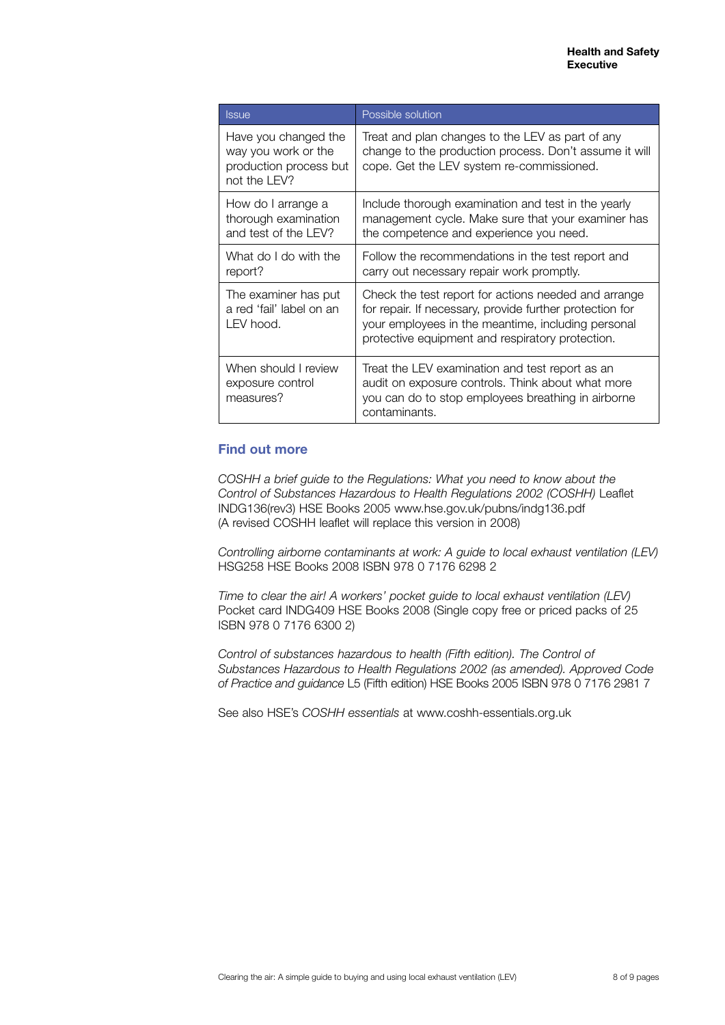| <b>Issue</b>                                                                          | Possible solution                                                                                                                                                                                                          |
|---------------------------------------------------------------------------------------|----------------------------------------------------------------------------------------------------------------------------------------------------------------------------------------------------------------------------|
| Have you changed the<br>way you work or the<br>production process but<br>not the LEV? | Treat and plan changes to the LEV as part of any<br>change to the production process. Don't assume it will<br>cope. Get the LEV system re-commissioned.                                                                    |
| How do I arrange a<br>thorough examination<br>and test of the LEV?                    | Include thorough examination and test in the yearly<br>management cycle. Make sure that your examiner has<br>the competence and experience you need.                                                                       |
| What do I do with the<br>report?                                                      | Follow the recommendations in the test report and<br>carry out necessary repair work promptly.                                                                                                                             |
| The examiner has put<br>a red 'fail' label on an<br>LEV hood.                         | Check the test report for actions needed and arrange<br>for repair. If necessary, provide further protection for<br>your employees in the meantime, including personal<br>protective equipment and respiratory protection. |
| When should I review<br>exposure control<br>measures?                                 | Treat the LEV examination and test report as an<br>audit on exposure controls. Think about what more<br>you can do to stop employees breathing in airborne<br>contaminants.                                                |

# **Find out more**

*COSHH a brief guide to the Regulations: What you need to know about the Control of Substances Hazardous to Health Regulations 2002 (COSHH)* Leaflet INDG136(rev3) HSE Books 2005 www.hse.gov.uk/pubns/indg136.pdf (A revised COSHH leaflet will replace this version in 2008)

*Controlling airborne contaminants at work: A guide to local exhaust ventilation (LEV)*  HSG258 HSE Books 2008 ISBN 978 0 7176 6298 2

*Time to clear the air! A workers' pocket guide to local exhaust ventilation (LEV)*  Pocket card INDG409 HSE Books 2008 (Single copy free or priced packs of 25 ISBN 978 0 7176 6300 2)

*Control of substances hazardous to health (Fifth edition). The Control of Substances Hazardous to Health Regulations 2002 (as amended). Approved Code of Practice and guidance* L5 (Fifth edition) HSE Books 2005 ISBN 978 0 7176 2981 7

See also HSE's *COSHH essentials* at www.coshh-essentials.org.uk